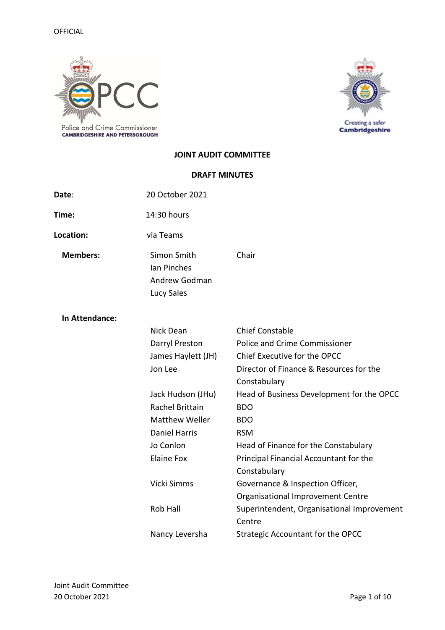

Creating a safer<br>Cambridgeshire

## **JOINT AUDIT COMMITTEE**

## **DRAFT MINUTES**

| Date:           | 20 October 2021                                           |                                            |
|-----------------|-----------------------------------------------------------|--------------------------------------------|
| Time:           | 14:30 hours                                               |                                            |
| Location:       | via Teams                                                 |                                            |
| <b>Members:</b> | Simon Smith<br>Ian Pinches<br>Andrew Godman<br>Lucy Sales | Chair                                      |
| In Attendance:  |                                                           |                                            |
|                 | Nick Dean                                                 | <b>Chief Constable</b>                     |
|                 | Darryl Preston                                            | <b>Police and Crime Commissioner</b>       |
|                 | James Haylett (JH)                                        | Chief Executive for the OPCC               |
|                 | Jon Lee                                                   | Director of Finance & Resources for the    |
|                 |                                                           | Constabulary                               |
|                 | Jack Hudson (JHu)                                         | Head of Business Development for the OPCC  |
|                 | <b>Rachel Brittain</b>                                    | <b>BDO</b>                                 |
|                 | <b>Matthew Weller</b>                                     | <b>BDO</b>                                 |
|                 | <b>Daniel Harris</b>                                      | <b>RSM</b>                                 |
|                 | Jo Conlon                                                 | Head of Finance for the Constabulary       |
|                 | <b>Elaine Fox</b>                                         | Principal Financial Accountant for the     |
|                 |                                                           | Constabulary                               |
|                 | Vicki Simms                                               | Governance & Inspection Officer,           |
|                 |                                                           | Organisational Improvement Centre          |
|                 | Rob Hall                                                  | Superintendent, Organisational Improvement |
|                 |                                                           | Centre                                     |
|                 | Nancy Leversha                                            | Strategic Accountant for the OPCC          |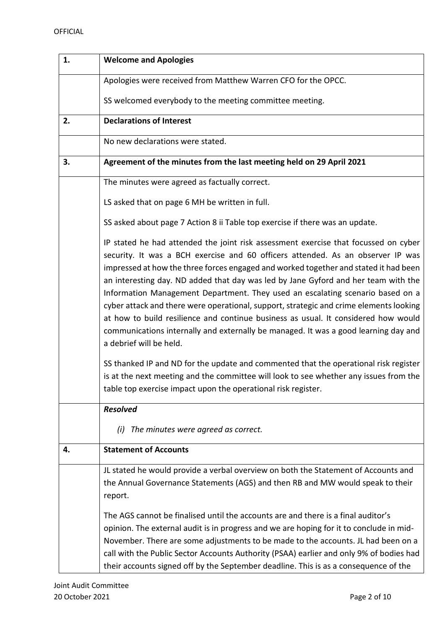| 1. | <b>Welcome and Apologies</b>                                                                                                                                                                                                                                                                                                                                                                                                                                                                                                                                                                                                                                                                                                             |
|----|------------------------------------------------------------------------------------------------------------------------------------------------------------------------------------------------------------------------------------------------------------------------------------------------------------------------------------------------------------------------------------------------------------------------------------------------------------------------------------------------------------------------------------------------------------------------------------------------------------------------------------------------------------------------------------------------------------------------------------------|
|    | Apologies were received from Matthew Warren CFO for the OPCC.                                                                                                                                                                                                                                                                                                                                                                                                                                                                                                                                                                                                                                                                            |
|    | SS welcomed everybody to the meeting committee meeting.                                                                                                                                                                                                                                                                                                                                                                                                                                                                                                                                                                                                                                                                                  |
| 2. | <b>Declarations of Interest</b>                                                                                                                                                                                                                                                                                                                                                                                                                                                                                                                                                                                                                                                                                                          |
|    | No new declarations were stated.                                                                                                                                                                                                                                                                                                                                                                                                                                                                                                                                                                                                                                                                                                         |
| 3. | Agreement of the minutes from the last meeting held on 29 April 2021                                                                                                                                                                                                                                                                                                                                                                                                                                                                                                                                                                                                                                                                     |
|    | The minutes were agreed as factually correct.                                                                                                                                                                                                                                                                                                                                                                                                                                                                                                                                                                                                                                                                                            |
|    | LS asked that on page 6 MH be written in full.                                                                                                                                                                                                                                                                                                                                                                                                                                                                                                                                                                                                                                                                                           |
|    | SS asked about page 7 Action 8 ii Table top exercise if there was an update.                                                                                                                                                                                                                                                                                                                                                                                                                                                                                                                                                                                                                                                             |
|    | IP stated he had attended the joint risk assessment exercise that focussed on cyber<br>security. It was a BCH exercise and 60 officers attended. As an observer IP was<br>impressed at how the three forces engaged and worked together and stated it had been<br>an interesting day. ND added that day was led by Jane Gyford and her team with the<br>Information Management Department. They used an escalating scenario based on a<br>cyber attack and there were operational, support, strategic and crime elements looking<br>at how to build resilience and continue business as usual. It considered how would<br>communications internally and externally be managed. It was a good learning day and<br>a debrief will be held. |
|    | SS thanked IP and ND for the update and commented that the operational risk register<br>is at the next meeting and the committee will look to see whether any issues from the<br>table top exercise impact upon the operational risk register.                                                                                                                                                                                                                                                                                                                                                                                                                                                                                           |
|    | <b>Resolved</b>                                                                                                                                                                                                                                                                                                                                                                                                                                                                                                                                                                                                                                                                                                                          |
|    | The minutes were agreed as correct.<br>(i)                                                                                                                                                                                                                                                                                                                                                                                                                                                                                                                                                                                                                                                                                               |
| 4. | <b>Statement of Accounts</b>                                                                                                                                                                                                                                                                                                                                                                                                                                                                                                                                                                                                                                                                                                             |
|    | JL stated he would provide a verbal overview on both the Statement of Accounts and<br>the Annual Governance Statements (AGS) and then RB and MW would speak to their<br>report.<br>The AGS cannot be finalised until the accounts are and there is a final auditor's<br>opinion. The external audit is in progress and we are hoping for it to conclude in mid-                                                                                                                                                                                                                                                                                                                                                                          |
|    | November. There are some adjustments to be made to the accounts. JL had been on a<br>call with the Public Sector Accounts Authority (PSAA) earlier and only 9% of bodies had<br>their accounts signed off by the September deadline. This is as a consequence of the                                                                                                                                                                                                                                                                                                                                                                                                                                                                     |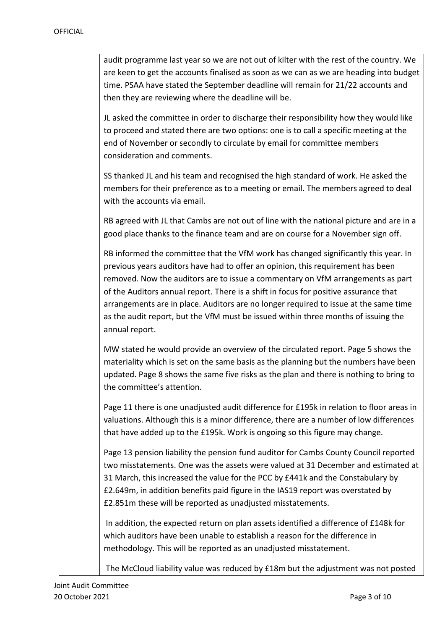| audit programme last year so we are not out of kilter with the rest of the country. We<br>are keen to get the accounts finalised as soon as we can as we are heading into budget<br>time. PSAA have stated the September deadline will remain for 21/22 accounts and<br>then they are reviewing where the deadline will be.                                                                                                                                                                                                                       |
|---------------------------------------------------------------------------------------------------------------------------------------------------------------------------------------------------------------------------------------------------------------------------------------------------------------------------------------------------------------------------------------------------------------------------------------------------------------------------------------------------------------------------------------------------|
| JL asked the committee in order to discharge their responsibility how they would like<br>to proceed and stated there are two options: one is to call a specific meeting at the<br>end of November or secondly to circulate by email for committee members<br>consideration and comments.                                                                                                                                                                                                                                                          |
| SS thanked JL and his team and recognised the high standard of work. He asked the<br>members for their preference as to a meeting or email. The members agreed to deal<br>with the accounts via email.                                                                                                                                                                                                                                                                                                                                            |
| RB agreed with JL that Cambs are not out of line with the national picture and are in a<br>good place thanks to the finance team and are on course for a November sign off.                                                                                                                                                                                                                                                                                                                                                                       |
| RB informed the committee that the VfM work has changed significantly this year. In<br>previous years auditors have had to offer an opinion, this requirement has been<br>removed. Now the auditors are to issue a commentary on VfM arrangements as part<br>of the Auditors annual report. There is a shift in focus for positive assurance that<br>arrangements are in place. Auditors are no longer required to issue at the same time<br>as the audit report, but the VfM must be issued within three months of issuing the<br>annual report. |
| MW stated he would provide an overview of the circulated report. Page 5 shows the<br>materiality which is set on the same basis as the planning but the numbers have been<br>updated. Page 8 shows the same five risks as the plan and there is nothing to bring to<br>the committee's attention.                                                                                                                                                                                                                                                 |
| Page 11 there is one unadjusted audit difference for £195k in relation to floor areas in<br>valuations. Although this is a minor difference, there are a number of low differences<br>that have added up to the £195k. Work is ongoing so this figure may change.                                                                                                                                                                                                                                                                                 |
| Page 13 pension liability the pension fund auditor for Cambs County Council reported<br>two misstatements. One was the assets were valued at 31 December and estimated at<br>31 March, this increased the value for the PCC by £441k and the Constabulary by<br>£2.649m, in addition benefits paid figure in the IAS19 report was overstated by<br>£2.851m these will be reported as unadjusted misstatements.                                                                                                                                    |
| In addition, the expected return on plan assets identified a difference of £148k for<br>which auditors have been unable to establish a reason for the difference in<br>methodology. This will be reported as an unadjusted misstatement.                                                                                                                                                                                                                                                                                                          |
| The McCloud liability value was reduced by £18m but the adjustment was not posted                                                                                                                                                                                                                                                                                                                                                                                                                                                                 |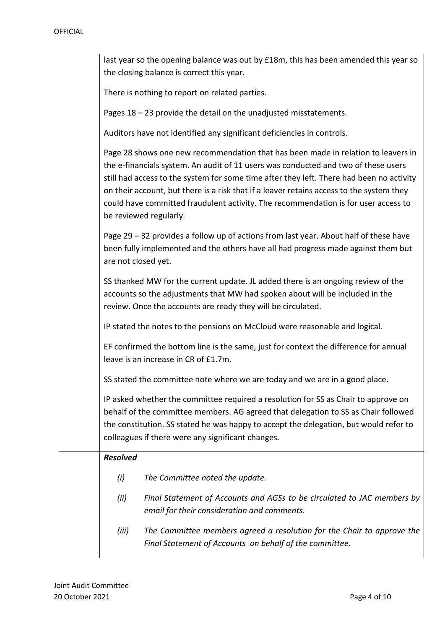|                     | last year so the opening balance was out by £18m, this has been amended this year so<br>the closing balance is correct this year.                                                                                                                                                                                                                                                                                                                                               |
|---------------------|---------------------------------------------------------------------------------------------------------------------------------------------------------------------------------------------------------------------------------------------------------------------------------------------------------------------------------------------------------------------------------------------------------------------------------------------------------------------------------|
|                     | There is nothing to report on related parties.                                                                                                                                                                                                                                                                                                                                                                                                                                  |
|                     | Pages 18 - 23 provide the detail on the unadjusted misstatements.                                                                                                                                                                                                                                                                                                                                                                                                               |
|                     | Auditors have not identified any significant deficiencies in controls.                                                                                                                                                                                                                                                                                                                                                                                                          |
|                     | Page 28 shows one new recommendation that has been made in relation to leavers in<br>the e-financials system. An audit of 11 users was conducted and two of these users<br>still had access to the system for some time after they left. There had been no activity<br>on their account, but there is a risk that if a leaver retains access to the system they<br>could have committed fraudulent activity. The recommendation is for user access to<br>be reviewed regularly. |
| are not closed yet. | Page 29 - 32 provides a follow up of actions from last year. About half of these have<br>been fully implemented and the others have all had progress made against them but                                                                                                                                                                                                                                                                                                      |
|                     | SS thanked MW for the current update. JL added there is an ongoing review of the<br>accounts so the adjustments that MW had spoken about will be included in the<br>review. Once the accounts are ready they will be circulated.                                                                                                                                                                                                                                                |
|                     | IP stated the notes to the pensions on McCloud were reasonable and logical.                                                                                                                                                                                                                                                                                                                                                                                                     |
|                     | EF confirmed the bottom line is the same, just for context the difference for annual<br>leave is an increase in CR of £1.7m.                                                                                                                                                                                                                                                                                                                                                    |
|                     | SS stated the committee note where we are today and we are in a good place.                                                                                                                                                                                                                                                                                                                                                                                                     |
|                     | IP asked whether the committee required a resolution for SS as Chair to approve on<br>behalf of the committee members. AG agreed that delegation to SS as Chair followed<br>the constitution. SS stated he was happy to accept the delegation, but would refer to<br>colleagues if there were any significant changes.                                                                                                                                                          |
| <b>Resolved</b>     |                                                                                                                                                                                                                                                                                                                                                                                                                                                                                 |
| (i)                 | The Committee noted the update.                                                                                                                                                                                                                                                                                                                                                                                                                                                 |
| (ii)                | Final Statement of Accounts and AGSs to be circulated to JAC members by<br>email for their consideration and comments.                                                                                                                                                                                                                                                                                                                                                          |
| (iii)               | The Committee members agreed a resolution for the Chair to approve the<br>Final Statement of Accounts on behalf of the committee.                                                                                                                                                                                                                                                                                                                                               |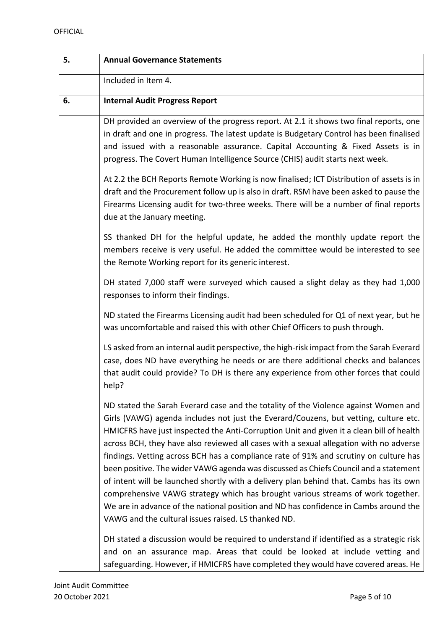| 5. | <b>Annual Governance Statements</b>                                                                                                                                                                                                                                                                                                                                                                                                                                                                                                                                                                                                                                                                                                                                                                                                                                            |
|----|--------------------------------------------------------------------------------------------------------------------------------------------------------------------------------------------------------------------------------------------------------------------------------------------------------------------------------------------------------------------------------------------------------------------------------------------------------------------------------------------------------------------------------------------------------------------------------------------------------------------------------------------------------------------------------------------------------------------------------------------------------------------------------------------------------------------------------------------------------------------------------|
|    | Included in Item 4.                                                                                                                                                                                                                                                                                                                                                                                                                                                                                                                                                                                                                                                                                                                                                                                                                                                            |
| 6. | <b>Internal Audit Progress Report</b>                                                                                                                                                                                                                                                                                                                                                                                                                                                                                                                                                                                                                                                                                                                                                                                                                                          |
|    | DH provided an overview of the progress report. At 2.1 it shows two final reports, one<br>in draft and one in progress. The latest update is Budgetary Control has been finalised<br>and issued with a reasonable assurance. Capital Accounting & Fixed Assets is in<br>progress. The Covert Human Intelligence Source (CHIS) audit starts next week.                                                                                                                                                                                                                                                                                                                                                                                                                                                                                                                          |
|    | At 2.2 the BCH Reports Remote Working is now finalised; ICT Distribution of assets is in<br>draft and the Procurement follow up is also in draft. RSM have been asked to pause the<br>Firearms Licensing audit for two-three weeks. There will be a number of final reports<br>due at the January meeting.                                                                                                                                                                                                                                                                                                                                                                                                                                                                                                                                                                     |
|    | SS thanked DH for the helpful update, he added the monthly update report the<br>members receive is very useful. He added the committee would be interested to see<br>the Remote Working report for its generic interest.                                                                                                                                                                                                                                                                                                                                                                                                                                                                                                                                                                                                                                                       |
|    | DH stated 7,000 staff were surveyed which caused a slight delay as they had 1,000<br>responses to inform their findings.                                                                                                                                                                                                                                                                                                                                                                                                                                                                                                                                                                                                                                                                                                                                                       |
|    | ND stated the Firearms Licensing audit had been scheduled for Q1 of next year, but he<br>was uncomfortable and raised this with other Chief Officers to push through.                                                                                                                                                                                                                                                                                                                                                                                                                                                                                                                                                                                                                                                                                                          |
|    | LS asked from an internal audit perspective, the high-risk impact from the Sarah Everard<br>case, does ND have everything he needs or are there additional checks and balances<br>that audit could provide? To DH is there any experience from other forces that could<br>help?                                                                                                                                                                                                                                                                                                                                                                                                                                                                                                                                                                                                |
|    | ND stated the Sarah Everard case and the totality of the Violence against Women and<br>Girls (VAWG) agenda includes not just the Everard/Couzens, but vetting, culture etc.<br>HMICFRS have just inspected the Anti-Corruption Unit and given it a clean bill of health<br>across BCH, they have also reviewed all cases with a sexual allegation with no adverse<br>findings. Vetting across BCH has a compliance rate of 91% and scrutiny on culture has<br>been positive. The wider VAWG agenda was discussed as Chiefs Council and a statement<br>of intent will be launched shortly with a delivery plan behind that. Cambs has its own<br>comprehensive VAWG strategy which has brought various streams of work together.<br>We are in advance of the national position and ND has confidence in Cambs around the<br>VAWG and the cultural issues raised. LS thanked ND. |
|    | DH stated a discussion would be required to understand if identified as a strategic risk<br>and on an assurance map. Areas that could be looked at include vetting and<br>safeguarding. However, if HMICFRS have completed they would have covered areas. He                                                                                                                                                                                                                                                                                                                                                                                                                                                                                                                                                                                                                   |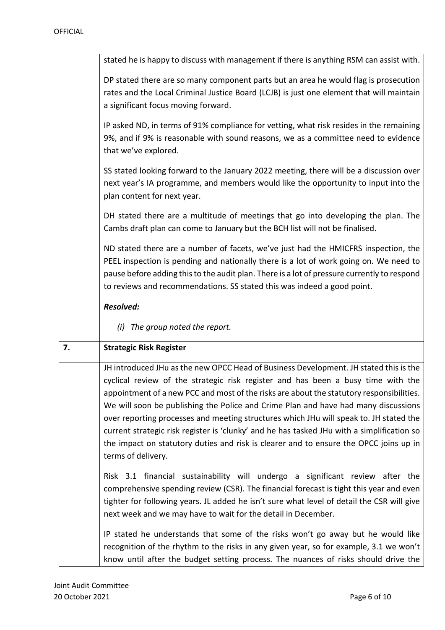|    | stated he is happy to discuss with management if there is anything RSM can assist with.                                                                                                                                                                                                                                                                                                                                                                                                                                                                                                                                                                            |
|----|--------------------------------------------------------------------------------------------------------------------------------------------------------------------------------------------------------------------------------------------------------------------------------------------------------------------------------------------------------------------------------------------------------------------------------------------------------------------------------------------------------------------------------------------------------------------------------------------------------------------------------------------------------------------|
|    | DP stated there are so many component parts but an area he would flag is prosecution<br>rates and the Local Criminal Justice Board (LCJB) is just one element that will maintain<br>a significant focus moving forward.                                                                                                                                                                                                                                                                                                                                                                                                                                            |
|    | IP asked ND, in terms of 91% compliance for vetting, what risk resides in the remaining<br>9%, and if 9% is reasonable with sound reasons, we as a committee need to evidence<br>that we've explored.                                                                                                                                                                                                                                                                                                                                                                                                                                                              |
|    | SS stated looking forward to the January 2022 meeting, there will be a discussion over<br>next year's IA programme, and members would like the opportunity to input into the<br>plan content for next year.                                                                                                                                                                                                                                                                                                                                                                                                                                                        |
|    | DH stated there are a multitude of meetings that go into developing the plan. The<br>Cambs draft plan can come to January but the BCH list will not be finalised.                                                                                                                                                                                                                                                                                                                                                                                                                                                                                                  |
|    | ND stated there are a number of facets, we've just had the HMICFRS inspection, the<br>PEEL inspection is pending and nationally there is a lot of work going on. We need to<br>pause before adding this to the audit plan. There is a lot of pressure currently to respond<br>to reviews and recommendations. SS stated this was indeed a good point.                                                                                                                                                                                                                                                                                                              |
|    | <b>Resolved:</b>                                                                                                                                                                                                                                                                                                                                                                                                                                                                                                                                                                                                                                                   |
|    | The group noted the report.<br>(i)                                                                                                                                                                                                                                                                                                                                                                                                                                                                                                                                                                                                                                 |
| 7. | <b>Strategic Risk Register</b>                                                                                                                                                                                                                                                                                                                                                                                                                                                                                                                                                                                                                                     |
|    | JH introduced JHu as the new OPCC Head of Business Development. JH stated this is the<br>cyclical review of the strategic risk register and has been a busy time with the<br>appointment of a new PCC and most of the risks are about the statutory responsibilities.<br>We will soon be publishing the Police and Crime Plan and have had many discussions<br>over reporting processes and meeting structures which JHu will speak to. JH stated the<br>current strategic risk register is 'clunky' and he has tasked JHu with a simplification so<br>the impact on statutory duties and risk is clearer and to ensure the OPCC joins up in<br>terms of delivery. |
|    | Risk 3.1 financial sustainability will undergo a significant review after the<br>comprehensive spending review (CSR). The financial forecast is tight this year and even<br>tighter for following years. JL added he isn't sure what level of detail the CSR will give<br>next week and we may have to wait for the detail in December.                                                                                                                                                                                                                                                                                                                            |
|    | IP stated he understands that some of the risks won't go away but he would like<br>recognition of the rhythm to the risks in any given year, so for example, 3.1 we won't<br>know until after the budget setting process. The nuances of risks should drive the                                                                                                                                                                                                                                                                                                                                                                                                    |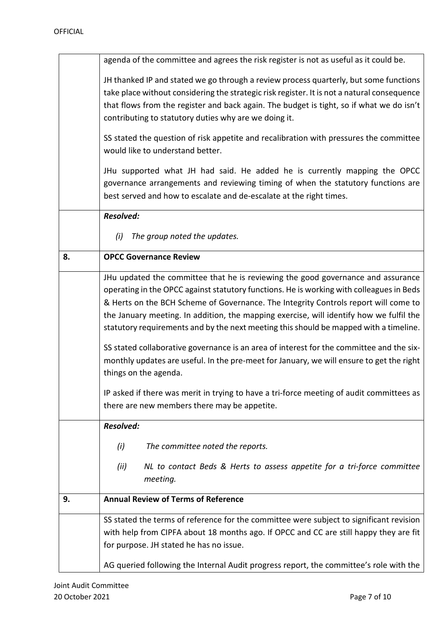|    | agenda of the committee and agrees the risk register is not as useful as it could be.                                                                                                                                                                                            |
|----|----------------------------------------------------------------------------------------------------------------------------------------------------------------------------------------------------------------------------------------------------------------------------------|
|    | JH thanked IP and stated we go through a review process quarterly, but some functions<br>take place without considering the strategic risk register. It is not a natural consequence<br>that flows from the register and back again. The budget is tight, so if what we do isn't |
|    | contributing to statutory duties why are we doing it.                                                                                                                                                                                                                            |
|    | SS stated the question of risk appetite and recalibration with pressures the committee<br>would like to understand better.                                                                                                                                                       |
|    | JHu supported what JH had said. He added he is currently mapping the OPCC<br>governance arrangements and reviewing timing of when the statutory functions are<br>best served and how to escalate and de-escalate at the right times.                                             |
|    | <b>Resolved:</b>                                                                                                                                                                                                                                                                 |
|    | (i)<br>The group noted the updates.                                                                                                                                                                                                                                              |
| 8. | <b>OPCC Governance Review</b>                                                                                                                                                                                                                                                    |
|    | JHu updated the committee that he is reviewing the good governance and assurance                                                                                                                                                                                                 |
|    | operating in the OPCC against statutory functions. He is working with colleagues in Beds<br>& Herts on the BCH Scheme of Governance. The Integrity Controls report will come to                                                                                                  |
|    | the January meeting. In addition, the mapping exercise, will identify how we fulfil the                                                                                                                                                                                          |
|    | statutory requirements and by the next meeting this should be mapped with a timeline.                                                                                                                                                                                            |
|    | SS stated collaborative governance is an area of interest for the committee and the six-                                                                                                                                                                                         |
|    | monthly updates are useful. In the pre-meet for January, we will ensure to get the right                                                                                                                                                                                         |
|    | things on the agenda.                                                                                                                                                                                                                                                            |
|    | IP asked if there was merit in trying to have a tri-force meeting of audit committees as                                                                                                                                                                                         |
|    | there are new members there may be appetite.                                                                                                                                                                                                                                     |
|    | <b>Resolved:</b>                                                                                                                                                                                                                                                                 |
|    | (i)<br>The committee noted the reports.                                                                                                                                                                                                                                          |
|    | (ii)<br>NL to contact Beds & Herts to assess appetite for a tri-force committee<br>meeting.                                                                                                                                                                                      |
| 9. | <b>Annual Review of Terms of Reference</b>                                                                                                                                                                                                                                       |
|    | SS stated the terms of reference for the committee were subject to significant revision                                                                                                                                                                                          |
|    | with help from CIPFA about 18 months ago. If OPCC and CC are still happy they are fit                                                                                                                                                                                            |
|    | for purpose. JH stated he has no issue.                                                                                                                                                                                                                                          |
|    | AG queried following the Internal Audit progress report, the committee's role with the                                                                                                                                                                                           |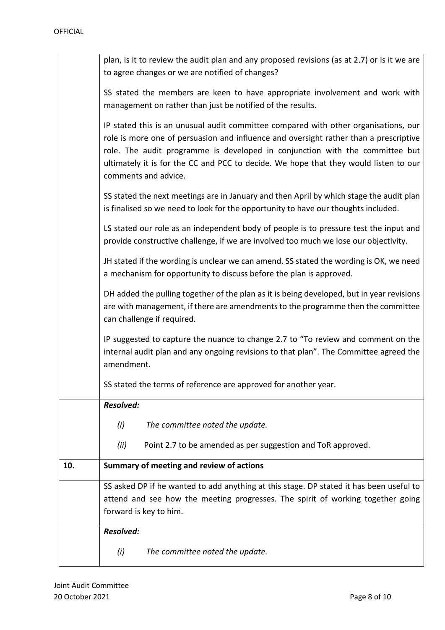|     | plan, is it to review the audit plan and any proposed revisions (as at 2.7) or is it we are<br>to agree changes or we are notified of changes?                                                                                                                                                                                                                               |
|-----|------------------------------------------------------------------------------------------------------------------------------------------------------------------------------------------------------------------------------------------------------------------------------------------------------------------------------------------------------------------------------|
|     | SS stated the members are keen to have appropriate involvement and work with<br>management on rather than just be notified of the results.                                                                                                                                                                                                                                   |
|     | IP stated this is an unusual audit committee compared with other organisations, our<br>role is more one of persuasion and influence and oversight rather than a prescriptive<br>role. The audit programme is developed in conjunction with the committee but<br>ultimately it is for the CC and PCC to decide. We hope that they would listen to our<br>comments and advice. |
|     | SS stated the next meetings are in January and then April by which stage the audit plan<br>is finalised so we need to look for the opportunity to have our thoughts included.                                                                                                                                                                                                |
|     | LS stated our role as an independent body of people is to pressure test the input and<br>provide constructive challenge, if we are involved too much we lose our objectivity.                                                                                                                                                                                                |
|     | JH stated if the wording is unclear we can amend. SS stated the wording is OK, we need<br>a mechanism for opportunity to discuss before the plan is approved.                                                                                                                                                                                                                |
|     | DH added the pulling together of the plan as it is being developed, but in year revisions<br>are with management, if there are amendments to the programme then the committee<br>can challenge if required.                                                                                                                                                                  |
|     | IP suggested to capture the nuance to change 2.7 to "To review and comment on the<br>internal audit plan and any ongoing revisions to that plan". The Committee agreed the<br>amendment.                                                                                                                                                                                     |
|     | SS stated the terms of reference are approved for another year.                                                                                                                                                                                                                                                                                                              |
|     | <b>Resolved:</b>                                                                                                                                                                                                                                                                                                                                                             |
|     | (i)<br>The committee noted the update.                                                                                                                                                                                                                                                                                                                                       |
|     | Point 2.7 to be amended as per suggestion and ToR approved.<br>(ii)                                                                                                                                                                                                                                                                                                          |
| 10. | Summary of meeting and review of actions                                                                                                                                                                                                                                                                                                                                     |
|     | SS asked DP if he wanted to add anything at this stage. DP stated it has been useful to                                                                                                                                                                                                                                                                                      |
|     | attend and see how the meeting progresses. The spirit of working together going<br>forward is key to him.                                                                                                                                                                                                                                                                    |
|     | <b>Resolved:</b>                                                                                                                                                                                                                                                                                                                                                             |
|     | (i)<br>The committee noted the update.                                                                                                                                                                                                                                                                                                                                       |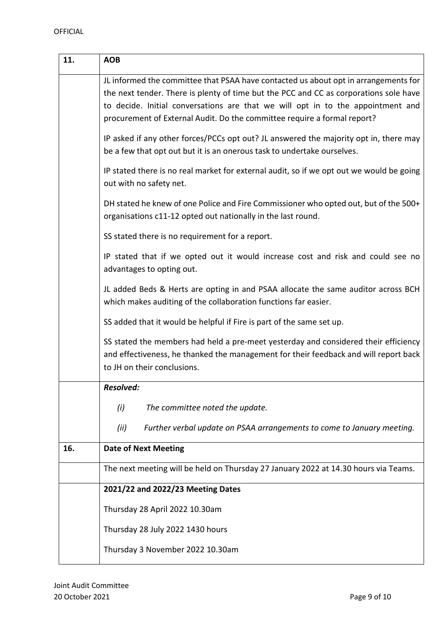| 11. | <b>AOB</b>                                                                                                                                                                                                                                                                                                                                  |
|-----|---------------------------------------------------------------------------------------------------------------------------------------------------------------------------------------------------------------------------------------------------------------------------------------------------------------------------------------------|
|     | JL informed the committee that PSAA have contacted us about opt in arrangements for<br>the next tender. There is plenty of time but the PCC and CC as corporations sole have<br>to decide. Initial conversations are that we will opt in to the appointment and<br>procurement of External Audit. Do the committee require a formal report? |
|     | IP asked if any other forces/PCCs opt out? JL answered the majority opt in, there may<br>be a few that opt out but it is an onerous task to undertake ourselves.                                                                                                                                                                            |
|     | IP stated there is no real market for external audit, so if we opt out we would be going<br>out with no safety net.                                                                                                                                                                                                                         |
|     | DH stated he knew of one Police and Fire Commissioner who opted out, but of the 500+<br>organisations c11-12 opted out nationally in the last round.                                                                                                                                                                                        |
|     | SS stated there is no requirement for a report.                                                                                                                                                                                                                                                                                             |
|     | IP stated that if we opted out it would increase cost and risk and could see no<br>advantages to opting out.                                                                                                                                                                                                                                |
|     | JL added Beds & Herts are opting in and PSAA allocate the same auditor across BCH<br>which makes auditing of the collaboration functions far easier.                                                                                                                                                                                        |
|     | SS added that it would be helpful if Fire is part of the same set up.                                                                                                                                                                                                                                                                       |
|     | SS stated the members had held a pre-meet yesterday and considered their efficiency<br>and effectiveness, he thanked the management for their feedback and will report back<br>to JH on their conclusions.                                                                                                                                  |
|     | <b>Resolved:</b>                                                                                                                                                                                                                                                                                                                            |
|     | (i)<br>The committee noted the update.                                                                                                                                                                                                                                                                                                      |
|     | (ii)<br>Further verbal update on PSAA arrangements to come to January meeting.                                                                                                                                                                                                                                                              |
| 16. | <b>Date of Next Meeting</b>                                                                                                                                                                                                                                                                                                                 |
|     | The next meeting will be held on Thursday 27 January 2022 at 14.30 hours via Teams.                                                                                                                                                                                                                                                         |
|     | 2021/22 and 2022/23 Meeting Dates                                                                                                                                                                                                                                                                                                           |
|     | Thursday 28 April 2022 10.30am                                                                                                                                                                                                                                                                                                              |
|     | Thursday 28 July 2022 1430 hours                                                                                                                                                                                                                                                                                                            |
|     | Thursday 3 November 2022 10.30am                                                                                                                                                                                                                                                                                                            |